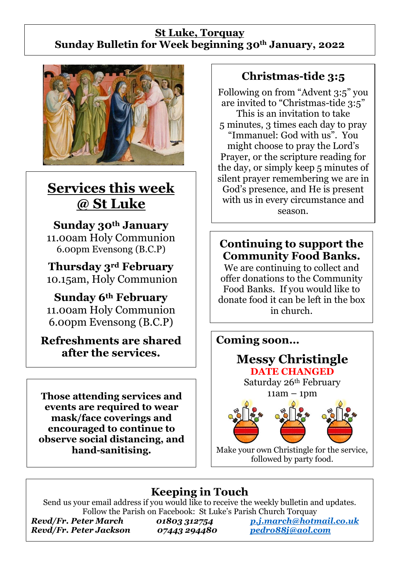#### **St Luke, Torquay Sunday Bulletin for Week beginning 30th January, 2022**



# **Services this week @ St Luke**

**Sunday 30th January** 11.00am Holy Communion 6.00pm Evensong (B.C.P)

**Thursday 3rd February** 10.15am, Holy Communion

**Sunday 6th February** 11.00am Holy Communion 6.00pm Evensong (B.C.P)

**Refreshments are shared after the services.**

**Those attending services and events are required to wear mask/face coverings and encouraged to continue to observe social distancing, and hand-sanitising.**

## **Christmas-tide 3:5**

Following on from "Advent 3:5" you are invited to "Christmas-tide 3:5" This is an invitation to take 5 minutes, 3 times each day to pray "Immanuel: God with us". You might choose to pray the Lord's Prayer, or the scripture reading for the day, or simply keep 5 minutes of silent prayer remembering we are in God's presence, and He is present with us in every circumstance and season.

### **Continuing to support the Community Food Banks.**

We are continuing to collect and offer donations to the Community Food Banks. If you would like to donate food it can be left in the box in church.



## **Keeping in Touch**

Send us your email address if you would like to receive the weekly bulletin and updates. Follow the Parish on Facebook: St Luke's Parish Church Torquay

*Revd/Fr. Peter Jackson 07443 294480 [pedro88j@aol.com](mailto:pedro88j@aol.com)*

*Revd/Fr. Peter March 01803 312754 [p.j.march@hotmail.co.uk](mailto:p.j.march@hotmail.co.uk)*